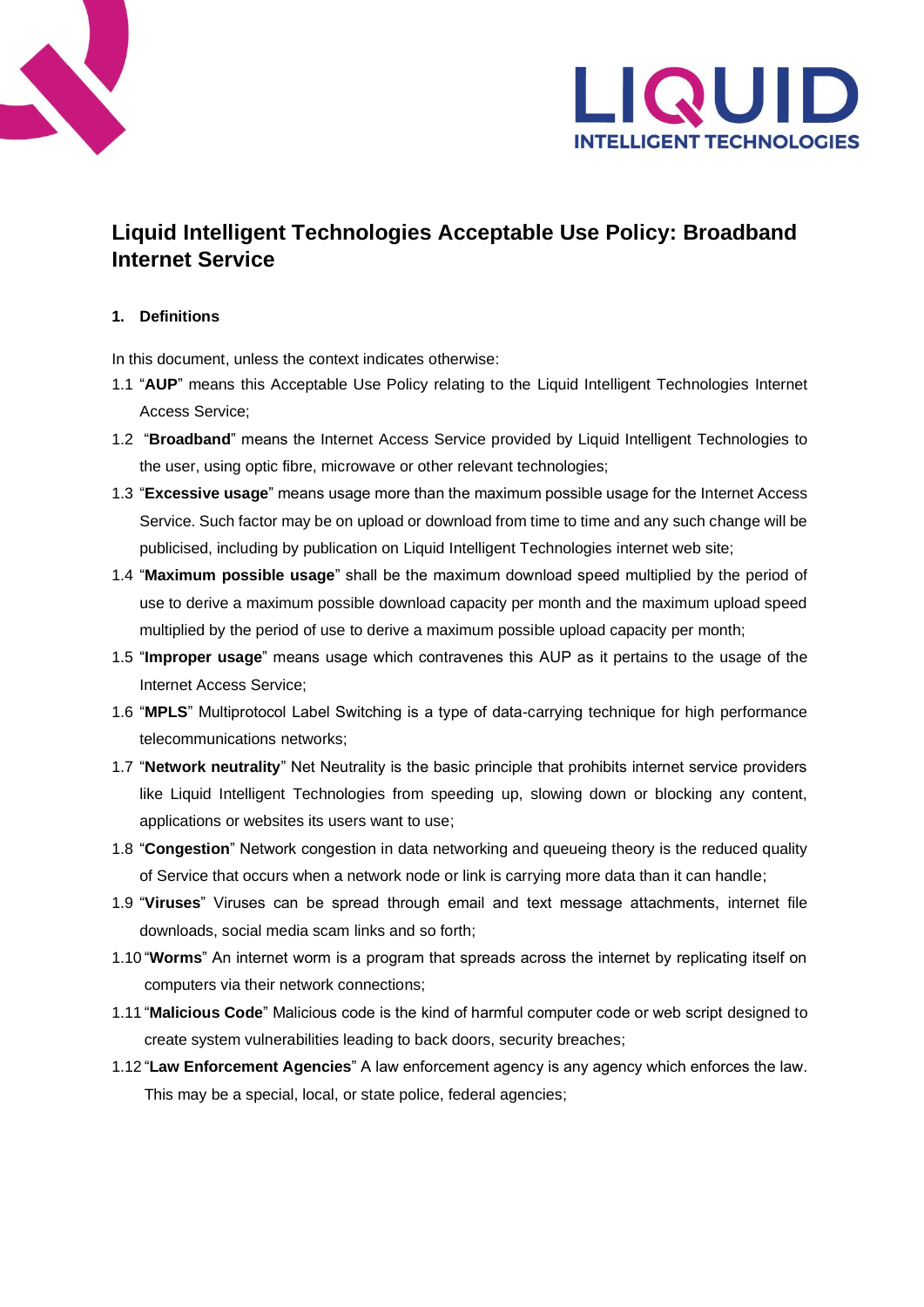



# **Liquid Intelligent Technologies Acceptable Use Policy: Broadband Internet Service**

# **1. Definitions**

In this document, unless the context indicates otherwise:

- 1.1 "**AUP**" means this Acceptable Use Policy relating to the Liquid Intelligent Technologies Internet Access Service;
- 1.2 "**Broadband**" means the Internet Access Service provided by Liquid Intelligent Technologies to the user, using optic fibre, microwave or other relevant technologies;
- 1.3 "**Excessive usage**" means usage more than the maximum possible usage for the Internet Access Service. Such factor may be on upload or download from time to time and any such change will be publicised, including by publication on Liquid Intelligent Technologies internet web site;
- 1.4 "**Maximum possible usage**" shall be the maximum download speed multiplied by the period of use to derive a maximum possible download capacity per month and the maximum upload speed multiplied by the period of use to derive a maximum possible upload capacity per month;
- 1.5 "**Improper usage**" means usage which contravenes this AUP as it pertains to the usage of the Internet Access Service;
- 1.6 "**MPLS**" Multiprotocol Label Switching is a type of data-carrying technique for high performance telecommunications networks;
- 1.7 "**Network neutrality**" Net Neutrality is the basic principle that prohibits internet service providers like Liquid Intelligent Technologies from speeding up, slowing down or blocking any content, applications or websites its users want to use;
- 1.8 "**Congestion**" Network congestion in data networking and queueing theory is the reduced quality of Service that occurs when a network node or link is carrying more data than it can handle;
- 1.9 "**Viruses**" Viruses can be spread through email and text message attachments, internet file downloads, social media scam links and so forth;
- 1.10"**Worms**" An internet worm is a program that spreads across the internet by replicating itself on computers via their network connections;
- 1.11"**Malicious Code**" Malicious code is the kind of harmful computer code or web script designed to create system vulnerabilities leading to back doors, security breaches;
- 1.12"**Law Enforcement Agencies**" A law enforcement agency is any agency which enforces the law. This may be a special, local, or state police, federal agencies;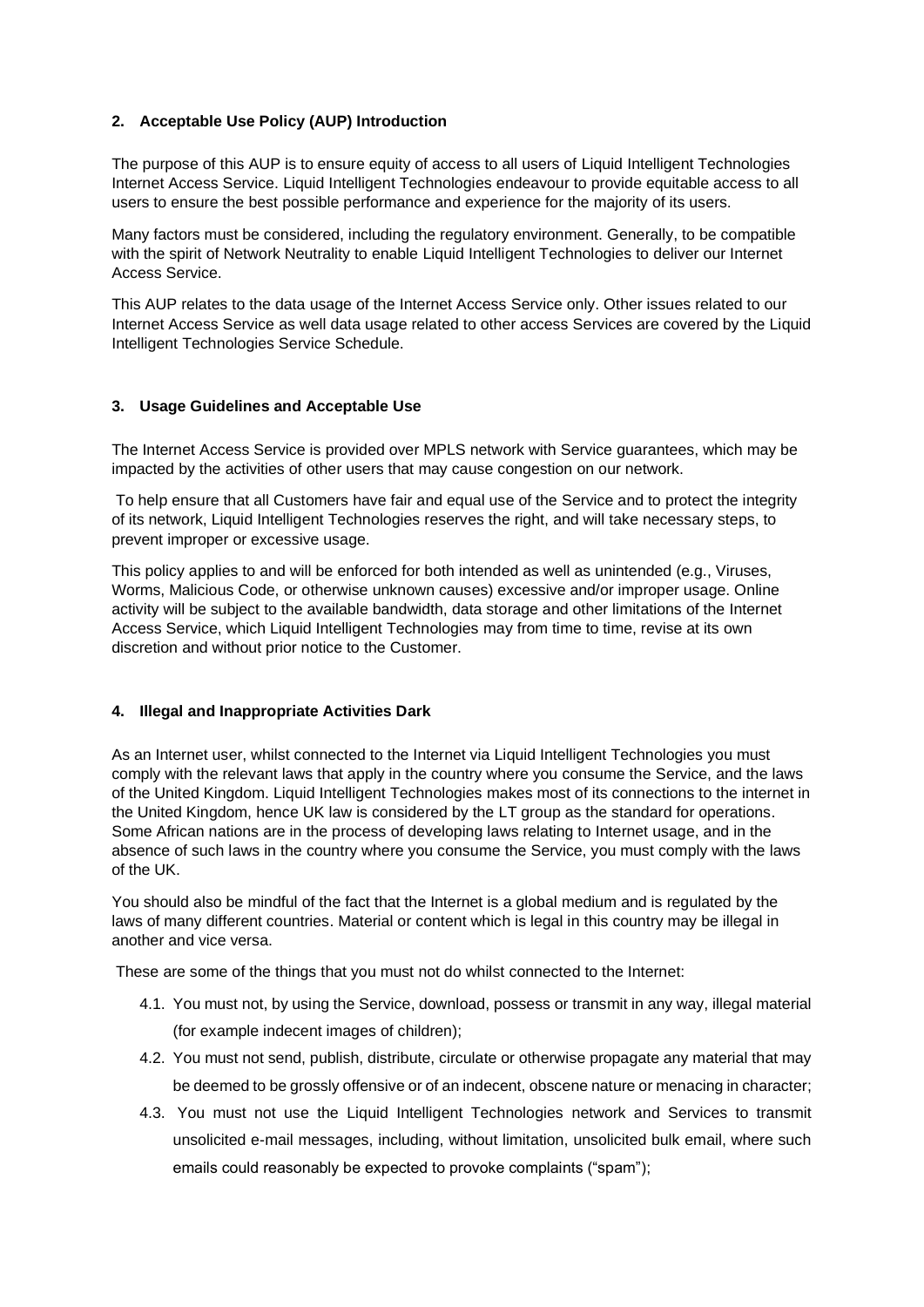# **2. Acceptable Use Policy (AUP) Introduction**

The purpose of this AUP is to ensure equity of access to all users of Liquid Intelligent Technologies Internet Access Service. Liquid Intelligent Technologies endeavour to provide equitable access to all users to ensure the best possible performance and experience for the majority of its users.

Many factors must be considered, including the regulatory environment. Generally, to be compatible with the spirit of Network Neutrality to enable Liquid Intelligent Technologies to deliver our Internet Access Service.

This AUP relates to the data usage of the Internet Access Service only. Other issues related to our Internet Access Service as well data usage related to other access Services are covered by the Liquid Intelligent Technologies Service Schedule.

### **3. Usage Guidelines and Acceptable Use**

The Internet Access Service is provided over MPLS network with Service guarantees, which may be impacted by the activities of other users that may cause congestion on our network.

To help ensure that all Customers have fair and equal use of the Service and to protect the integrity of its network, Liquid Intelligent Technologies reserves the right, and will take necessary steps, to prevent improper or excessive usage.

This policy applies to and will be enforced for both intended as well as unintended (e.g., Viruses, Worms, Malicious Code, or otherwise unknown causes) excessive and/or improper usage. Online activity will be subject to the available bandwidth, data storage and other limitations of the Internet Access Service, which Liquid Intelligent Technologies may from time to time, revise at its own discretion and without prior notice to the Customer.

### **4. Illegal and Inappropriate Activities Dark**

As an Internet user, whilst connected to the Internet via Liquid Intelligent Technologies you must comply with the relevant laws that apply in the country where you consume the Service, and the laws of the United Kingdom. Liquid Intelligent Technologies makes most of its connections to the internet in the United Kingdom, hence UK law is considered by the LT group as the standard for operations. Some African nations are in the process of developing laws relating to Internet usage, and in the absence of such laws in the country where you consume the Service, you must comply with the laws of the UK.

You should also be mindful of the fact that the Internet is a global medium and is regulated by the laws of many different countries. Material or content which is legal in this country may be illegal in another and vice versa.

These are some of the things that you must not do whilst connected to the Internet:

- 4.1. You must not, by using the Service, download, possess or transmit in any way, illegal material (for example indecent images of children);
- 4.2. You must not send, publish, distribute, circulate or otherwise propagate any material that may be deemed to be grossly offensive or of an indecent, obscene nature or menacing in character;
- 4.3. You must not use the Liquid Intelligent Technologies network and Services to transmit unsolicited e-mail messages, including, without limitation, unsolicited bulk email, where such emails could reasonably be expected to provoke complaints ("spam");